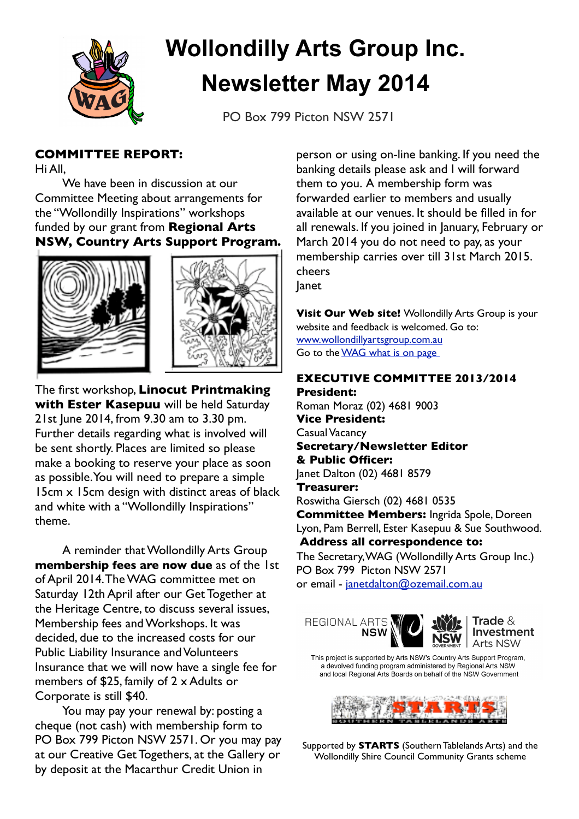

# **Wollondilly Arts Group Inc. Newsletter May 2014**

PO Box 799 Picton NSW 2571

## **COMMITTEE REPORT:**

Hi All,

We have been in discussion at our Committee Meeting about arrangements for the "Wollondilly Inspirations" workshops funded by our grant from **Regional Arts NSW, Country Arts Support Program.**





The first workshop, **Linocut Printmaking with Ester Kasepuu** will be held Saturday 21st June 2014, from 9.30 am to 3.30 pm. Further details regarding what is involved will be sent shortly. Places are limited so please make a booking to reserve your place as soon as possible.You will need to prepare a simple 15cm x 15cm design with distinct areas of black and white with a "Wollondilly Inspirations" theme.

A reminder that Wollondilly Arts Group **membership fees are now due** as of the 1st of April 2014.The WAG committee met on Saturday 12th April after our Get Together at the Heritage Centre, to discuss several issues, Membership fees and Workshops. It was decided, due to the increased costs for our Public Liability Insurance and Volunteers Insurance that we will now have a single fee for members of \$25, family of 2 x Adults or Corporate is still \$40.

You may pay your renewal by: posting a cheque (not cash) with membership form to PO Box 799 Picton NSW 2571. Or you may pay at our Creative Get Togethers, at the Gallery or by deposit at the Macarthur Credit Union in

person or using on-line banking. If you need the banking details please ask and I will forward them to you. A membership form was forwarded earlier to members and usually available at our venues. It should be filled in for all renewals. If you joined in January, February or March 2014 you do not need to pay, as your membership carries over till 31st March 2015. cheers Janet

**Visit Our Web site!** Wollondilly Arts Group is your website and feedback is welcomed. Go to:

[www.wollondillyartsgroup.com.au](http://www.wollondillyartsgroup.com.au) Go to the WAG what is on page

# **EXECUTIVE COMMITTEE 2013/2014**

**President:** Roman Moraz (02) 4681 9003 **Vice President:** Casual Vacancy **Secretary/Newsletter Editor & Public Officer:** Janet Dalton (02) 4681 8579 **Treasurer:**  Roswitha Giersch (02) 4681 0535 **Committee Members:** Ingrida Spole, Doreen Lyon, Pam Berrell, Ester Kasepuu & Sue Southwood. **Address all correspondence to:**

The Secretary,WAG (Wollondilly Arts Group Inc.) PO Box 799 Picton NSW 2571 or email - [janetdalton@ozemail.com.au](mailto:janetdalton@ozemail.com.au)





Trade  $\&$ Investment Arts NSW

This project is supported by Arts NSW's Country Arts Support Program, a devolved funding program administered by Regional Arts NSW and local Regional Arts Boards on behalf of the NSW Government



Supported by **STARTS** (Southern Tablelands Arts) and the Wollondilly Shire Council Community Grants scheme